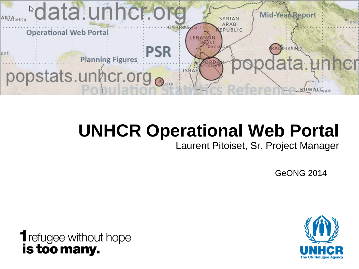

## **UNHCR Operational Web Portal**

Laurent Pitoiset, Sr. Project Manager

GeONG 2014

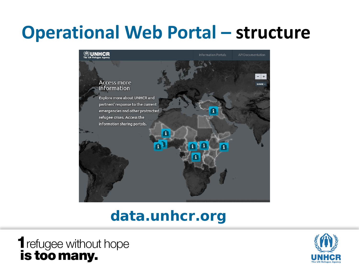## **Operational Web Portal – structure**



### **data.unhcr.org**

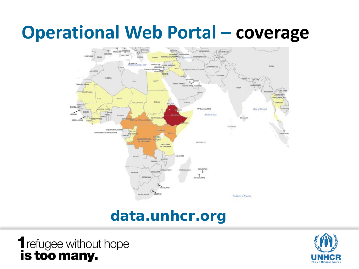### **Operational Web Portal – coverage**



### **data.unhcr.org**

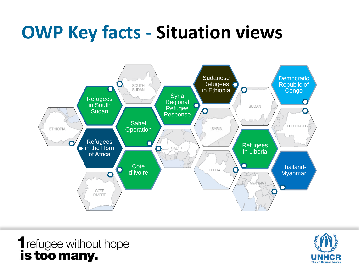## **OWP Key facts - Situation views**





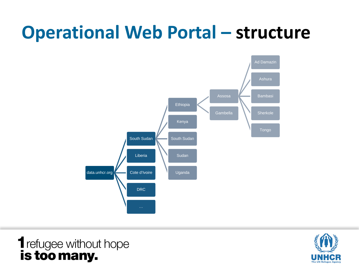## **Operational Web Portal – structure**



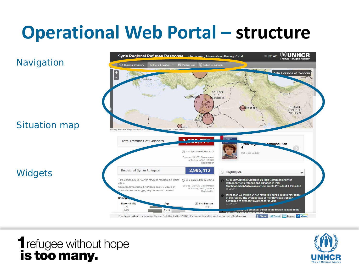## **Operational Web Portal – structure**

#### (M)UNHCR **Syria Regional Refugee Response** Inter-agency Information Sharing Portal EN FR AR The UN Refugee Ag **Navigation** Regional Overview Select a Location **Partner List El** Latest Doc Total Persons of Concern ys. SYRIAN Tehran ARAB CYPRUS EPUBLIC LEBANON RAOBagh ISLAMIC REPUBLIC OF IRAN Situation map  $\bigcirc$  airo han does not imply official  $2.000$ **Total Persons of Concern** esponse Plan **Synames**  $\mathbf{r}$ 2014 Cy Last Updated 02 Sep 2014 Mid-Year Update Source - UNHCR, Government of Turkey, AFAD, UNHCR Registration 2,965,412 **Registered Syrian Refugees Widgets** ○ Highlights > 15-18 July Antonio Guterres UN High Commissioner for This includes 23,367 Syrian refugees registered in North @ Last Updated 02 Sep 2014 Refugees visits refugee and IDP sites in Iraq<br>(Baghdad,Erbil&Sulaymaniyah).He meets President & PM in KRI Africa Source - UNHCR, Government Regional demographic breakdown below is based on of Turkey, AFAD, UNHCR ailable data from Egypt, Iraq, Jordan and Lebanon Registration More than 2.8 million Syrian refugees have sought protection Demo in the region. The average rate of monthly registrations continues to exceed 100,000 so far in 2014 Male (49.4%) (50.6%) Female Age 9.3% 8.9% 10.6%  $5 - 11$ , ... a potential threat in the region in light of the Tweet 1 Share 1 share

Feedback - About - Information Sharing Portal hosted by UNHCR - For more information, contact: syrport@unhcr.org

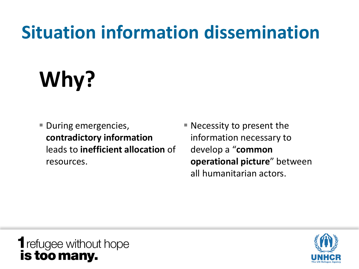## **Situation information dissemination**

# **Why?**

- **During emergencies, contradictory information**  leads to **inefficient allocation** of resources.
- Necessity to present the information necessary to develop a "**common operational picture**" between all humanitarian actors.

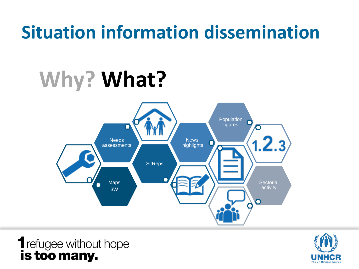## **Situation information dissemination**

## **Why? What?**



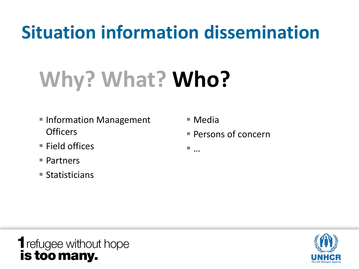## **Situation information dissemination**

## **Why? What? Who?**

- Information Management **Officers**
- Field offices
- Partners
- $\blacksquare$  Statisticians
- Media
- Persons of concern
- …

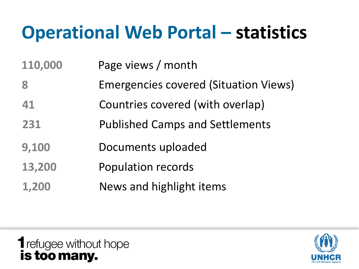## **Operational Web Portal – statistics**

**110,000** Page views / month

- **8** Emergencies covered (Situation Views)
- **41** Countries covered (with overlap)
- **231** Published Camps and Settlements
- **9,100** Documents uploaded
- **13,200** Population records
- **1,200** News and highlight items

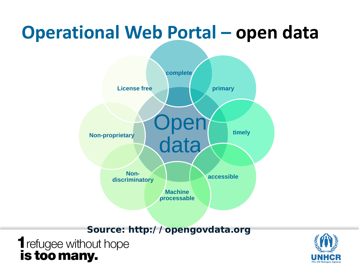## **Operational Web Portal – open data**



**Source: http://opengovdata.org**

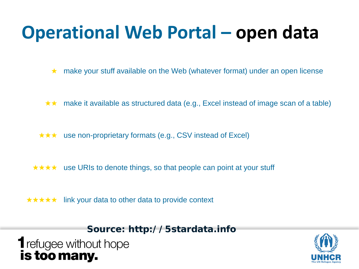## **Operational Web Portal – open data**

★ make your stuff available on the Web (whatever format) under an open license

- ★★ make it available as structured data (e.g., Excel instead of image scan of a table)
- ★★★ use non-proprietary formats (e.g., CSV instead of Excel)
- ★★★★ use URIs to denote things, so that people can point at your stuff
- ★★★★★ link your data to other data to provide context

**Source: http://5stardata.info**